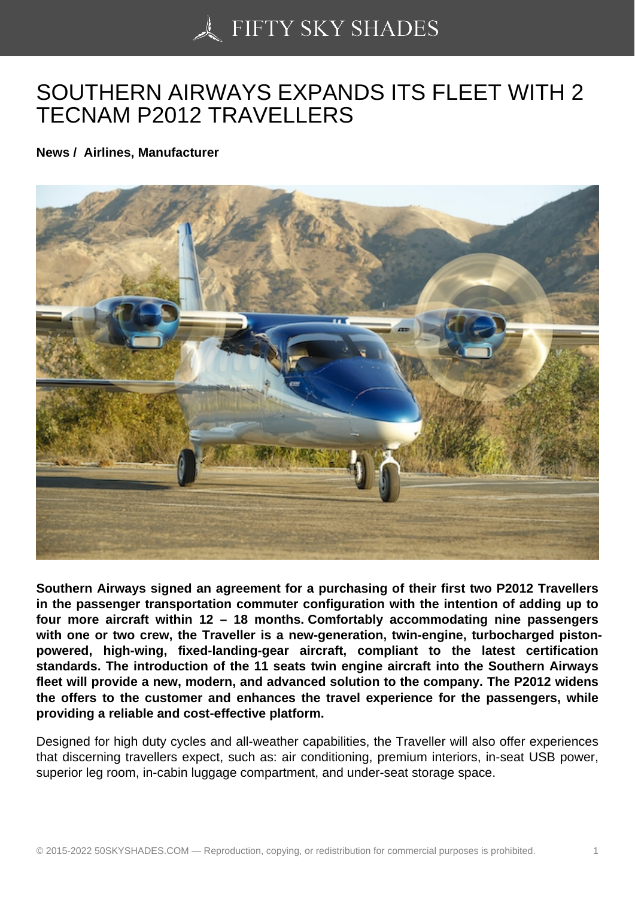## [SOUTHERN AIRWAYS](https://50skyshades.com) EXPANDS ITS FLEET WITH 2 TECNAM P2012 TRAVELLERS

News / Airlines, Manufacturer

Southern Airways signed an agreement for a purchasing of their first two P2012 Travellers in the passenger transportation commuter configuration with the intention of adding up to four more aircraft within 12 – 18 months. Comfortably accommodating nine passengers with one or two crew, the Traveller is a new-generation, twin-engine, turbocharged pistonpowered, high-wing, fixed-landing-gear aircraft, compliant to the latest certification standards. The introduction of the 11 seats twin engine aircraft into the Southern Airways fleet will provide a new, modern, and advanced solution to the company. The P2012 widens the offers to the customer and enhances the travel experience for the passengers, while providing a reliable and cost-effective platform.

Designed for high duty cycles and all-weather capabilities, the Traveller will also offer experiences that discerning travellers expect, such as: air conditioning, premium interiors, in-seat USB power, superior leg room, in-cabin luggage compartment, and under-seat storage space.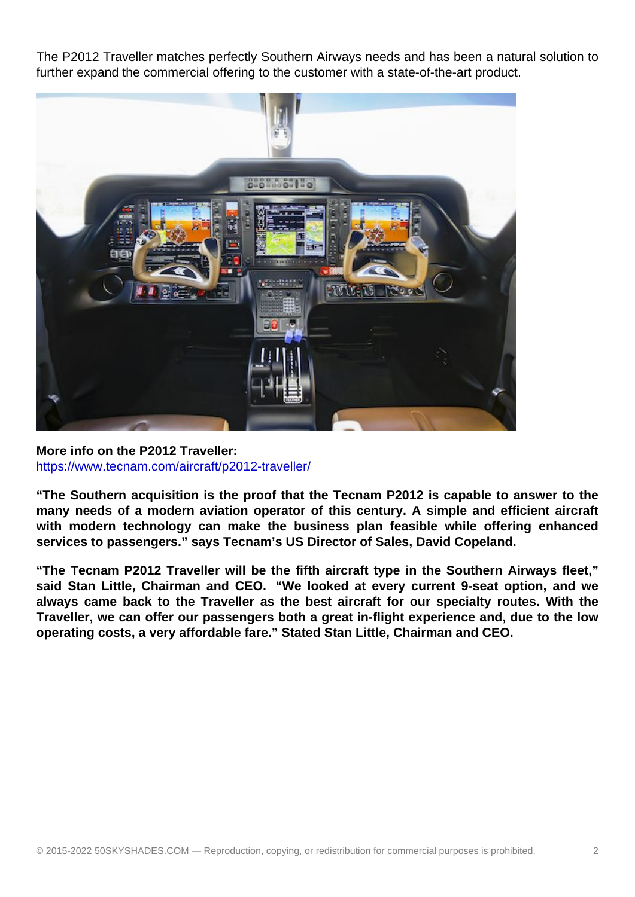The P2012 Traveller matches perfectly Southern Airways needs and has been a natural solution to further expand the commercial offering to the customer with a state-of-the-art product.

More info on the P2012 Traveller: https://www.tecnam.com/aircraft/p2012-traveller/

"The Southern acquisition is the proof that the Tecnam P2012 is capable to answer to the [many needs of a modern aviation operator of t](https://www.tecnam.com/aircraft/p2012-traveller/)his century. A simple and efficient aircraft with modern technology can make the business plan feasible while offering enhanced services to passengers." says Tecnam's US Director of Sales, David Copeland.

"The Tecnam P2012 Traveller will be the fifth aircraft type in the Southern Airways fleet," said Stan Little, Chairman and CEO. "We looked at every current 9-seat option, and we always came back to the Traveller as the best aircraft for our specialty routes. With the Traveller, we can offer our passengers both a great in-flight experience and, due to the low operating costs, a very affordable fare." Stated Stan Little, Chairman and CEO.